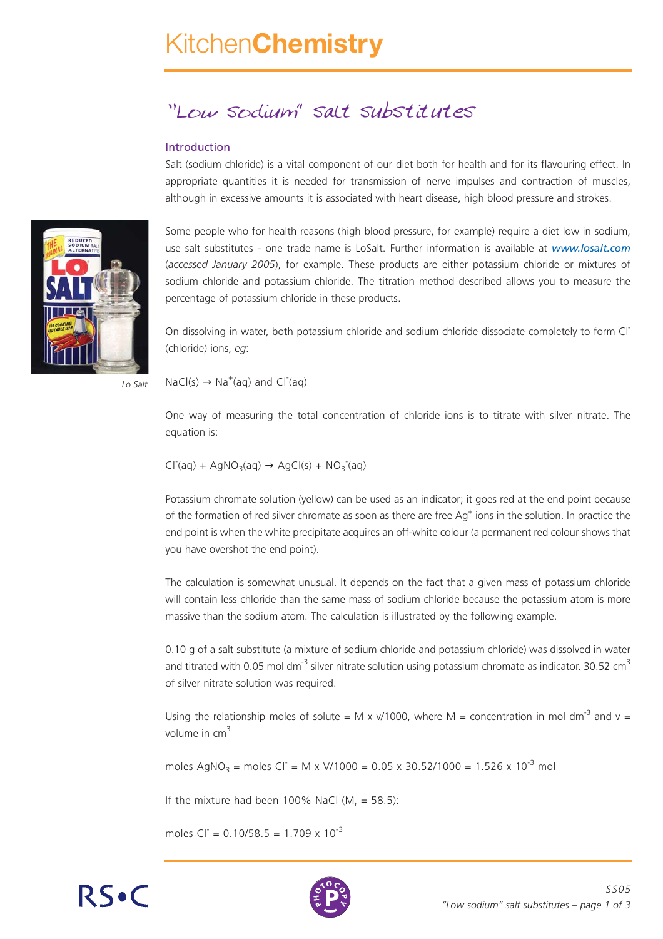# 'Low sodium" salt substitutes

#### Introduction

Salt (sodium chloride) is a vital component of our diet both for health and for its flavouring effect. In appropriate quantities it is needed for transmission of nerve impulses and contraction of muscles, although in excessive amounts it is associated with heart disease, high blood pressure and strokes.

Some people who for health reasons (high blood pressure, for example) require a diet low in sodium, use salt substitutes - one trade name is LoSalt. Further information is available at *www.losalt.com* (*accessed January 2005*), for example. These products are either potassium chloride or mixtures of sodium chloride and potassium chloride. The titration method described allows you to measure the percentage of potassium chloride in these products.

On dissolving in water, both potassium chloride and sodium chloride dissociate completely to form Cl- (chloride) ions, *eg*:

 $NaCl(s) \rightarrow Na^{+}(aq)$  and  $Cl^{-}(aq)$ 

One way of measuring the total concentration of chloride ions is to titrate with silver nitrate. The equation is:

 $CI<sup>-</sup>(aq) + AgNO<sub>3</sub>(aq) \rightarrow AgCI(s) + NO<sub>3</sub><sup>-</sup>(aq)$ 

Potassium chromate solution (yellow) can be used as an indicator; it goes red at the end point because of the formation of red silver chromate as soon as there are free Ag<sup>+</sup> ions in the solution. In practice the end point is when the white precipitate acquires an off-white colour (a permanent red colour shows that you have overshot the end point).

The calculation is somewhat unusual. It depends on the fact that a given mass of potassium chloride will contain less chloride than the same mass of sodium chloride because the potassium atom is more massive than the sodium atom. The calculation is illustrated by the following example.

0.10 g of a salt substitute (a mixture of sodium chloride and potassium chloride) was dissolved in water and titrated with 0.05 mol dm<sup>-3</sup> silver nitrate solution using potassium chromate as indicator. 30.52 cm<sup>3</sup> of silver nitrate solution was required.

Using the relationship moles of solute = M x v/1000, where M = concentration in mol dm<sup>-3</sup> and v = volume in  $cm<sup>3</sup>$ 

moles AgNO<sub>3</sub> = moles Cl<sup>-</sup> = M x V/1000 = 0.05 x 30.52/1000 = 1.526 x 10<sup>-3</sup> mol

If the mixture had been 100% NaCl  $(M_r = 58.5)$ :

moles  $CI = 0.10/58.5 = 1.709 \times 10^{-3}$ 





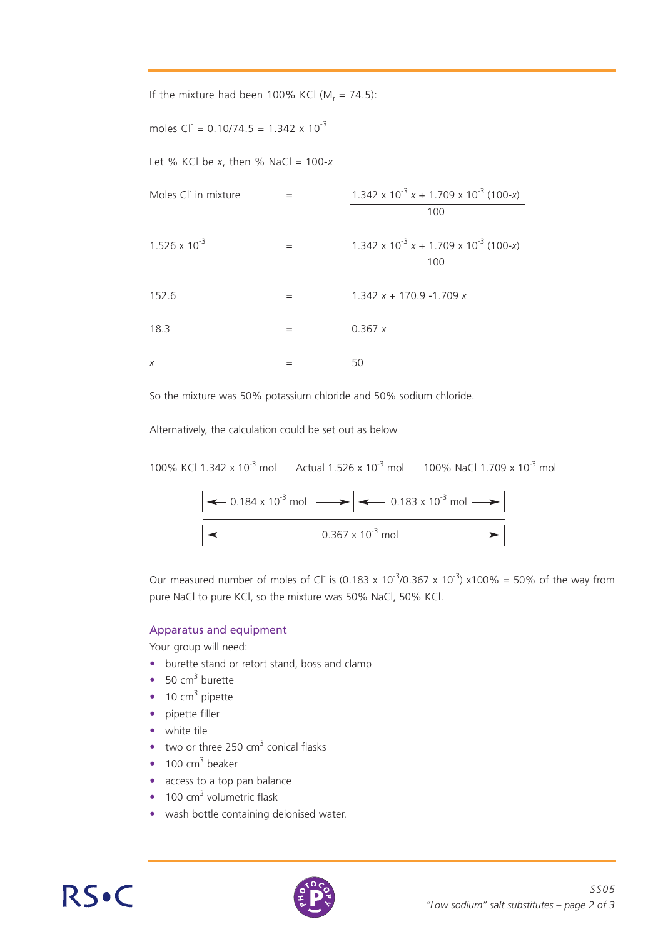| If the mixture had been 100% KCI ( $M_r = 74.5$ ): |     |                                                         |
|----------------------------------------------------|-----|---------------------------------------------------------|
| moles $CI = 0.10/74.5 = 1.342 \times 10^{-3}$      |     |                                                         |
| Let % KCl be x, then % NaCl = $100-x$              |     |                                                         |
| Moles Cl in mixture                                | $=$ | $1.342 \times 10^{-3} x + 1.709 \times 10^{-3} (100-x)$ |
|                                                    |     | 100                                                     |
| $1.526 \times 10^{-3}$                             | $=$ | $1.342 \times 10^{-3} x + 1.709 \times 10^{-3} (100-x)$ |
|                                                    |     | 100                                                     |
| 152.6                                              | =   | $1.342 x + 170.9 - 1.709 x$                             |
| 18.3                                               | $=$ | 0.367 x                                                 |
| X                                                  |     | 50                                                      |

So the mixture was 50% potassium chloride and 50% sodium chloride.

Alternatively, the calculation could be set out as below

100% KCl 1.342 x 10<sup>-3</sup> mol Actual 1.526 x 10<sup>-3</sup> mol 100% NaCl 1.709 x 10<sup>-3</sup> mol 0.184 x 10<sup>-3</sup> mol  $\longrightarrow$   $\leftarrow$  0.183 x 10<sup>-3</sup> mol  $0.367 \times 10^{-3}$  mol

Our measured number of moles of Cl<sup>-</sup> is (0.183 x 10<sup>-3</sup>/0.367 x 10<sup>-3</sup>) x100% = 50% of the way from pure NaCl to pure KCl, so the mixture was 50% NaCl, 50% KCl.

#### Apparatus and equipment

Your group will need:

- burette stand or retort stand, boss and clamp
- 50  $cm<sup>3</sup>$  burette
- $\bullet$  10 cm<sup>3</sup> pipette
- pipette filler
- white tile
- two or three 250  $\text{cm}^3$  conical flasks
- $\bullet$  100 cm<sup>3</sup> beaker
- access to a top pan balance
- $\bullet$  100 cm<sup>3</sup> volumetric flask
- wash bottle containing deionised water.